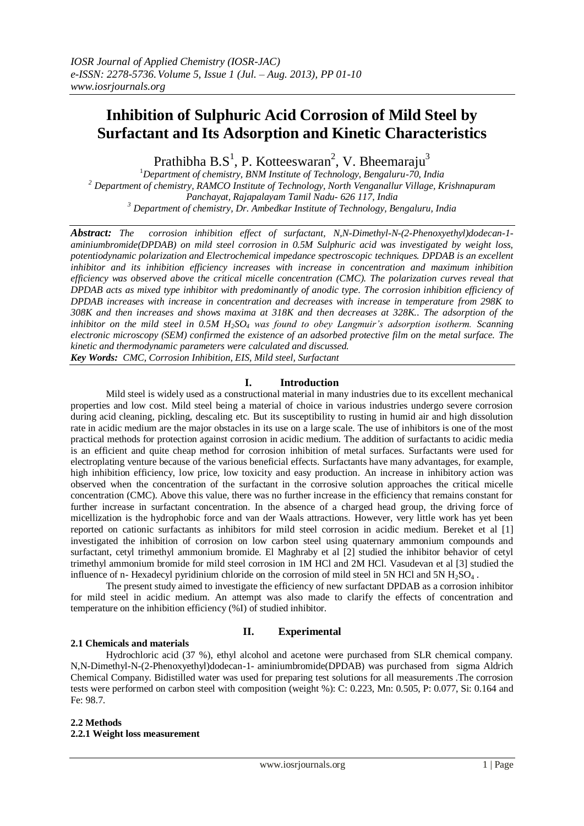# **Inhibition of Sulphuric Acid Corrosion of Mild Steel by Surfactant and Its Adsorption and Kinetic Characteristics**

Prathibha  $B.S^1$ , P. Kotteeswaran<sup>2</sup>, V. Bheemaraju<sup>3</sup>

*Department of chemistry, BNM Institute of Technology, Bengaluru-70, India Department of chemistry, RAMCO Institute of Technology, North Venganallur Village, Krishnapuram Panchayat, Rajapalayam Tamil Nadu- 626 117, India Department of chemistry, Dr. Ambedkar Institute of Technology, Bengaluru, India*

*Abstract: The corrosion inhibition effect of surfactant, N,N-Dimethyl-N-(2-Phenoxyethyl)dodecan-1 aminiumbromide(DPDAB) on mild steel corrosion in 0.5M Sulphuric acid was investigated by weight loss, potentiodynamic polarization and Electrochemical impedance spectroscopic techniques. DPDAB is an excellent inhibitor and its inhibition efficiency increases with increase in concentration and maximum inhibition efficiency was observed above the critical micelle concentration (CMC). The polarization curves reveal that DPDAB acts as mixed type inhibitor with predominantly of anodic type. The corrosion inhibition efficiency of DPDAB increases with increase in concentration and decreases with increase in temperature from 298K to 308K and then increases and shows maxima at 318K and then decreases at 328K.. The adsorption of the inhibitor on the mild steel in 0.5M H2SO<sup>4</sup> was found to obey Langmuir's adsorption isotherm. Scanning electronic microscopy (SEM) confirmed the existence of an adsorbed protective film on the metal surface. The kinetic and thermodynamic parameters were calculated and discussed. Key Words: CMC, Corrosion Inhibition, EIS, Mild steel, Surfactant*

# **I. Introduction**

Mild steel is widely used as a constructional material in many industries due to its excellent mechanical properties and low cost. Mild steel being a material of choice in various industries undergo severe corrosion during acid cleaning, pickling, descaling etc. But its susceptibility to rusting in humid air and high dissolution rate in acidic medium are the major obstacles in its use on a large scale. The use of inhibitors is one of the most practical methods for protection against corrosion in acidic medium. The addition of surfactants to acidic media is an efficient and quite cheap method for corrosion inhibition of metal surfaces. Surfactants were used for electroplating venture because of the various beneficial effects. Surfactants have many advantages, for example, high inhibition efficiency, low price, low toxicity and easy production. An increase in inhibitory action was observed when the concentration of the surfactant in the corrosive solution approaches the critical micelle concentration (CMC). Above this value, there was no further increase in the efficiency that remains constant for further increase in surfactant concentration. In the absence of a charged head group, the driving force of micellization is the hydrophobic force and van der Waals attractions. However, very little work has yet been reported on cationic surfactants as inhibitors for mild steel corrosion in acidic medium. Bereket et al [1] investigated the inhibition of corrosion on low carbon steel using quaternary ammonium compounds and surfactant, cetyl trimethyl ammonium bromide. El Maghraby et al [2] studied the inhibitor behavior of cetyl trimethyl ammonium bromide for mild steel corrosion in 1M HCl and 2M HCl. Vasudevan et al [3] studied the influence of n- Hexadecyl pyridinium chloride on the corrosion of mild steel in 5N HCl and 5N  $H_2SO_4$ .

The present study aimed to investigate the efficiency of new surfactant DPDAB as a corrosion inhibitor for mild steel in acidic medium. An attempt was also made to clarify the effects of concentration and temperature on the inhibition efficiency (%I) of studied inhibitor.

# **II. Experimental**

# **2.1 Chemicals and materials**

Hydrochloric acid (37 %), ethyl alcohol and acetone were purchased from SLR chemical company. N,N-Dimethyl-N-(2-Phenoxyethyl)dodecan-1- aminiumbromide(DPDAB) was purchased from sigma Aldrich Chemical Company. Bidistilled water was used for preparing test solutions for all measurements .The corrosion tests were performed on carbon steel with composition (weight %): C: 0.223, Mn: 0.505, P: 0.077, Si: 0.164 and Fe: 98.7.

## **2.2 Methods 2.2.1 Weight loss measurement**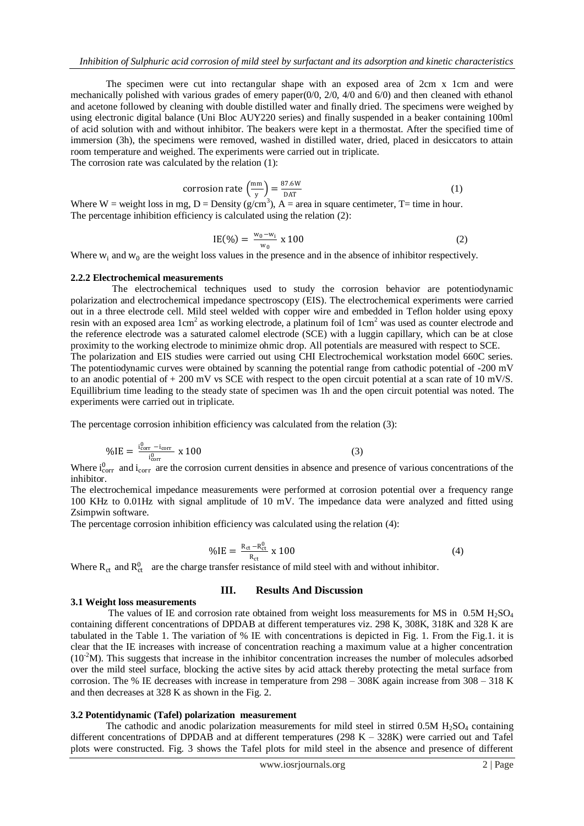The specimen were cut into rectangular shape with an exposed area of 2cm x 1cm and were mechanically polished with various grades of emery paper $(0/0, 2/0, 4/0)$  and  $(6/0)$  and then cleaned with ethanol and acetone followed by cleaning with double distilled water and finally dried. The specimens were weighed by using electronic digital balance (Uni Bloc AUY220 series) and finally suspended in a beaker containing 100ml of acid solution with and without inhibitor. The beakers were kept in a thermostat. After the specified time of immersion (3h), the specimens were removed, washed in distilled water, dried, placed in desiccators to attain room temperature and weighed. The experiments were carried out in triplicate. The corrosion rate was calculated by the relation (1):

corrosion rate 
$$
\left(\frac{mm}{y}\right) = \frac{87.6W}{DATA}
$$
 (1)

Where W = weight loss in mg, D = Density ( $g/cm<sup>3</sup>$ ), A = area in square centimeter, T= time in hour. The percentage inhibition efficiency is calculated using the relation (2):

$$
IE(\%) = \frac{w_0 - w_i}{w_0} \times 100 \tag{2}
$$

Where  $w_i$  and  $w_0$  are the weight loss values in the presence and in the absence of inhibitor respectively.

#### **2.2.2 Electrochemical measurements**

 The electrochemical techniques used to study the corrosion behavior are potentiodynamic polarization and electrochemical impedance spectroscopy (EIS). The electrochemical experiments were carried out in a three electrode cell. Mild steel welded with copper wire and embedded in Teflon holder using epoxy resin with an exposed area  $1 \text{cm}^2$  as working electrode, a platinum foil of  $1 \text{cm}^2$  was used as counter electrode and the reference electrode was a saturated calomel electrode (SCE) with a luggin capillary, which can be at close proximity to the working electrode to minimize ohmic drop. All potentials are measured with respect to SCE. The polarization and EIS studies were carried out using CHI Electrochemical workstation model 660C series. The potentiodynamic curves were obtained by scanning the potential range from cathodic potential of -200 mV to an anodic potential of  $+ 200$  mV vs SCE with respect to the open circuit potential at a scan rate of 10 mV/S. Equillibrium time leading to the steady state of specimen was 1h and the open circuit potential was noted. The experiments were carried out in triplicate.

The percentage corrosion inhibition efficiency was calculated from the relation (3):

$$
\% \text{IE} = \frac{\text{i}_{\text{corr}}^0 - \text{i}_{\text{corr}}}{\text{i}_{\text{corr}}^0} \times 100 \tag{3}
$$

Where  $i_{corr}^0$  and  $i_{corr}$  are the corrosion current densities in absence and presence of various concentrations of the inhibitor.

The electrochemical impedance measurements were performed at corrosion potential over a frequency range 100 KHz to 0.01Hz with signal amplitude of 10 mV. The impedance data were analyzed and fitted using Zsimpwin software.

The percentage corrosion inhibition efficiency was calculated using the relation (4):

$$
\% \text{IE} = \frac{\text{R}_{\text{ct}} - \text{R}_{\text{ct}}^0}{\text{R}_{\text{ct}}} \times 100 \tag{4}
$$

Where  $R_{ct}$  and  $R_{ct}^{0}$  are the charge transfer resistance of mild steel with and without inhibitor.

# **III. Results And Discussion**

#### **3.1 Weight loss measurements**

The values of IE and corrosion rate obtained from weight loss measurements for MS in  $0.5M H_2SO<sub>4</sub>$ containing different concentrations of DPDAB at different temperatures viz. 298 K, 308K, 318K and 328 K are tabulated in the Table 1. The variation of % IE with concentrations is depicted in Fig. 1. From the Fig.1. it is clear that the IE increases with increase of concentration reaching a maximum value at a higher concentration  $(10<sup>2</sup>M)$ . This suggests that increase in the inhibitor concentration increases the number of molecules adsorbed over the mild steel surface, blocking the active sites by acid attack thereby protecting the metal surface from corrosion. The % IE decreases with increase in temperature from 298 – 308K again increase from 308 – 318 K and then decreases at 328 K as shown in the Fig. 2.

#### **3.2 Potentidynamic (Tafel) polarization measurement**

The cathodic and anodic polarization measurements for mild steel in stirred  $0.5M H<sub>2</sub>SO<sub>4</sub>$  containing different concentrations of DPDAB and at different temperatures (298 K – 328K) were carried out and Tafel plots were constructed. Fig. 3 shows the Tafel plots for mild steel in the absence and presence of different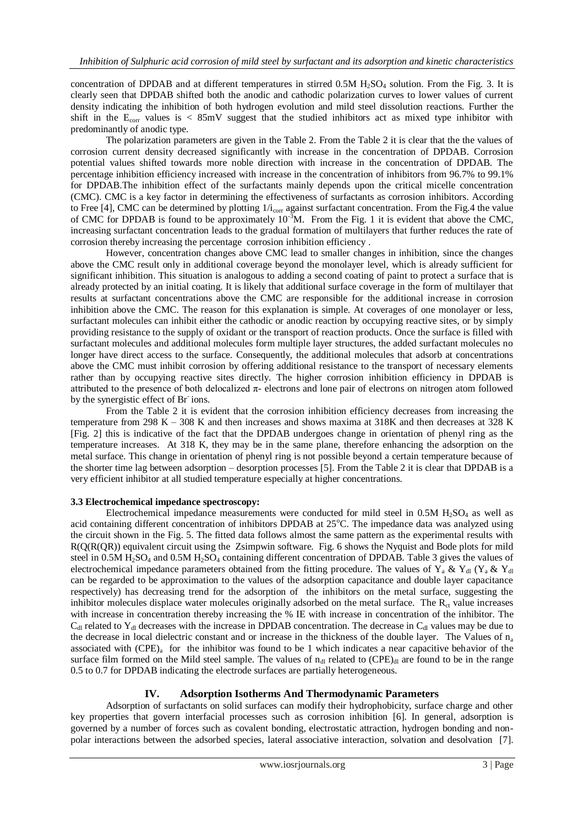concentration of DPDAB and at different temperatures in stirred  $0.5M H<sub>2</sub>SO<sub>4</sub>$  solution. From the Fig. 3. It is clearly seen that DPDAB shifted both the anodic and cathodic polarization curves to lower values of current density indicating the inhibition of both hydrogen evolution and mild steel dissolution reactions. Further the shift in the  $E_{\text{corr}}$  values is  $\lt$  85mV suggest that the studied inhibitors act as mixed type inhibitor with predominantly of anodic type.

The polarization parameters are given in the Table 2. From the Table 2 it is clear that the the values of corrosion current density decreased significantly with increase in the concentration of DPDAB. Corrosion potential values shifted towards more noble direction with increase in the concentration of DPDAB. The percentage inhibition efficiency increased with increase in the concentration of inhibitors from 96.7% to 99.1% for DPDAB.The inhibition effect of the surfactants mainly depends upon the critical micelle concentration (CMC). CMC is a key factor in determining the effectiveness of surfactants as corrosion inhibitors. According to Free [4], CMC can be determined by plotting  $1/i_{corr}$  against surfactant concentration. From the Fig.4 the value of CMC for DPDAB is found to be approximately  $10^{-3}$ M. From the Fig. 1 it is evident that above the CMC, increasing surfactant concentration leads to the gradual formation of multilayers that further reduces the rate of corrosion thereby increasing the percentage corrosion inhibition efficiency .

 However, concentration changes above CMC lead to smaller changes in inhibition, since the changes above the CMC result only in additional coverage beyond the monolayer level, which is already sufficient for significant inhibition. This situation is analogous to adding a second coating of paint to protect a surface that is already protected by an initial coating. It is likely that additional surface coverage in the form of multilayer that results at surfactant concentrations above the CMC are responsible for the additional increase in corrosion inhibition above the CMC. The reason for this explanation is simple. At coverages of one monolayer or less, surfactant molecules can inhibit either the cathodic or anodic reaction by occupying reactive sites, or by simply providing resistance to the supply of oxidant or the transport of reaction products. Once the surface is filled with surfactant molecules and additional molecules form multiple layer structures, the added surfactant molecules no longer have direct access to the surface. Consequently, the additional molecules that adsorb at concentrations above the CMC must inhibit corrosion by offering additional resistance to the transport of necessary elements rather than by occupying reactive sites directly. The higher corrosion inhibition efficiency in DPDAB is attributed to the presence of both delocalized π- electrons and lone pair of electrons on nitrogen atom followed by the synergistic effect of Br ions.

From the Table 2 it is evident that the corrosion inhibition efficiency decreases from increasing the temperature from 298 K – 308 K and then increases and shows maxima at 318K and then decreases at 328 K [Fig. 2] this is indicative of the fact that the DPDAB undergoes change in orientation of phenyl ring as the temperature increases. At 318 K, they may be in the same plane, therefore enhancing the adsorption on the metal surface. This change in orientation of phenyl ring is not possible beyond a certain temperature because of the shorter time lag between adsorption – desorption processes [5]. From the Table 2 it is clear that DPDAB is a very efficient inhibitor at all studied temperature especially at higher concentrations.

## **3.3 Electrochemical impedance spectroscopy:**

Electrochemical impedance measurements were conducted for mild steel in  $0.5M H<sub>2</sub>SO<sub>4</sub>$  as well as acid containing different concentration of inhibitors DPDAB at  $25^{\circ}$ C. The impedance data was analyzed using the circuit shown in the Fig. 5. The fitted data follows almost the same pattern as the experimental results with R(Q(R(QR)) equivalent circuit using the Zsimpwin software. Fig. 6 shows the Nyquist and Bode plots for mild steel in 0.5M H<sub>2</sub>SO<sub>4</sub> and 0.5M H<sub>2</sub>SO<sub>4</sub> containing different concentration of DPDAB. Table 3 gives the values of electrochemical impedance parameters obtained from the fitting procedure. The values of Y<sub>a</sub> & Y<sub>dl</sub> (Y<sub>a</sub> & Y<sub>dl</sub>) can be regarded to be approximation to the values of the adsorption capacitance and double layer capacitance respectively) has decreasing trend for the adsorption of the inhibitors on the metal surface, suggesting the inhibitor molecules displace water molecules originally adsorbed on the metal surface. The  $R<sub>ct</sub>$  value increases with increase in concentration thereby increasing the % IE with increase in concentration of the inhibitor. The  $C_{\rm dl}$  related to Y<sub>dl</sub> decreases with the increase in DPDAB concentration. The decrease in  $C_{\rm dl}$  values may be due to the decrease in local dielectric constant and or increase in the thickness of the double layer. The Values of  $n_a$ associated with  $(CPE)_{a}$  for the inhibitor was found to be 1 which indicates a near capacitive behavior of the surface film formed on the Mild steel sample. The values of  $n_{dl}$  related to (CPE) $_{dl}$  are found to be in the range 0.5 to 0.7 for DPDAB indicating the electrode surfaces are partially heterogeneous.

## **IV. Adsorption Isotherms And Thermodynamic Parameters**

 Adsorption of surfactants on solid surfaces can modify their hydrophobicity, surface charge and other key properties that govern interfacial processes such as corrosion inhibition [6]. In general, adsorption is governed by a number of forces such as covalent bonding, electrostatic attraction, hydrogen bonding and nonpolar interactions between the adsorbed species, lateral associative interaction, solvation and desolvation [7].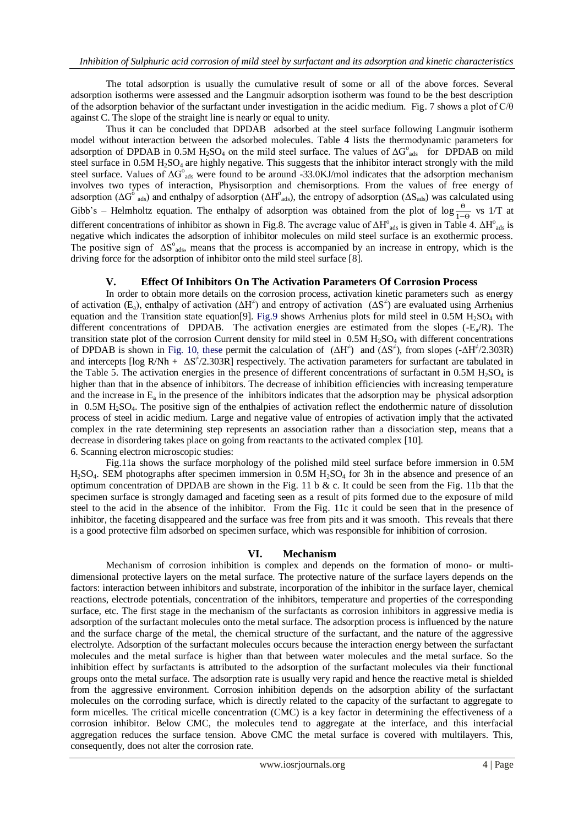The total adsorption is usually the cumulative result of some or all of the above forces. Several adsorption isotherms were assessed and the Langmuir adsorption isotherm was found to be the best description of the adsorption behavior of the surfactant under investigation in the acidic medium. Fig. 7 shows a plot of C/θ against C. The slope of the straight line is nearly or equal to unity.

Thus it can be concluded that DPDAB adsorbed at the steel surface following Langmuir isotherm model without interaction between the adsorbed molecules. Table 4 lists the thermodynamic parameters for adsorption of DPDAB in 0.5M H<sub>2</sub>SO<sub>4</sub> on the mild steel surface. The values of  $\Delta G^{\circ}_{ads}$  for DPDAB on mild steel surface in 0.5M H<sub>2</sub>SO<sub>4</sub> are highly negative. This suggests that the inhibitor interact strongly with the mild steel surface. Values of  $\Delta G^{\circ}$ <sub>ads</sub> were found to be around -33.0KJ/mol indicates that the adsorption mechanism involves two types of interaction, Physisorption and chemisorptions. From the values of free energy of adsorption ( $\Delta G^{\circ}$ <sub>ads</sub>) and enthalpy of adsorption ( $\Delta H^{\circ}$ <sub>ads</sub>), the entropy of adsorption ( $\Delta S$ <sub>ads</sub>) was calculated using Gibb's – Helmholtz equation. The enthalpy of adsorption was obtained from the plot of  $\log \frac{\theta}{1-\theta}$  vs 1/T at different concentrations of inhibitor as shown in Fig.8. The average value of  $\Delta H^{\circ}$ <sub>ads</sub> is given in Table 4.  $\Delta H^{\circ}$ <sub>ads</sub> is negative which indicates the adsorption of inhibitor molecules on mild steel surface is an exothermic process. The positive sign of  $\Delta S^{\circ}$ <sub>ads</sub>, means that the process is accompanied by an increase in entropy, which is the driving force for the adsorption of inhibitor onto the mild steel surface [8].

## **V. Effect Of Inhibitors On The Activation Parameters Of Corrosion Process**

In order to obtain more details on the corrosion process, activation kinetic parameters such as energy of activation (E<sub>a</sub>), enthalpy of activation ( $\Delta H^{\neq}$ ) and entropy of activation ( $\Delta S^{\neq}$ ) are evaluated using Arrhenius equation and the Transition state equation [9]. Fig.9 shows Arrhenius plots for mild steel in 0.5M  $H_2SO_4$  with different concentrations of DPDAB. The activation energies are estimated from the slopes  $(-E_a/R)$ . The transition state plot of the corrosion Current density for mild steel in  $0.5M H<sub>2</sub>SO<sub>4</sub>$  with different concentrations of DPDAB is shown in Fig. 10, these permit the calculation of  $(\Delta H^{\neq})$  and  $(\Delta S^{\neq})$ , from slopes  $(-\Delta H^{\neq}/2.303R)$ and intercepts  $[\log R/Nh + \Delta S^2/2.303R]$  respectively. The activation parameters for surfactant are tabulated in the Table 5. The activation energies in the presence of different concentrations of surfactant in  $0.5M H_2SO_4$  is higher than that in the absence of inhibitors. The decrease of inhibition efficiencies with increasing temperature and the increase in  $E_a$  in the presence of the inhibitors indicates that the adsorption may be physical adsorption in 0.5M H2SO4. The positive sign of the enthalpies of activation reflect the endothermic nature of dissolution process of steel in acidic medium. Large and negative value of entropies of activation imply that the activated complex in the rate determining step represents an association rather than a dissociation step, means that a decrease in disordering takes place on going from reactants to the activated complex [10].

6. Scanning electron microscopic studies: Fig.11a shows the surface morphology of the polished mild steel surface before immersion in 0.5M  $H<sub>2</sub>SO<sub>4</sub>$ . SEM photographs after specimen immersion in 0.5M  $H<sub>2</sub>SO<sub>4</sub>$  for 3h in the absence and presence of an optimum concentration of DPDAB are shown in the Fig. 11 b  $\&$  c. It could be seen from the Fig. 11b that the specimen surface is strongly damaged and faceting seen as a result of pits formed due to the exposure of mild steel to the acid in the absence of the inhibitor. From the Fig. 11c it could be seen that in the presence of

## **VI. Mechanism**

inhibitor, the faceting disappeared and the surface was free from pits and it was smooth. This reveals that there is a good protective film adsorbed on specimen surface, which was responsible for inhibition of corrosion.

Mechanism of corrosion inhibition is complex and depends on the formation of mono- or multidimensional protective layers on the metal surface. The protective nature of the surface layers depends on the factors: interaction between inhibitors and substrate, incorporation of the inhibitor in the surface layer, chemical reactions, electrode potentials, concentration of the inhibitors, temperature and properties of the corresponding surface, etc. The first stage in the mechanism of the surfactants as corrosion inhibitors in aggressive media is adsorption of the surfactant molecules onto the metal surface. The adsorption process is influenced by the nature and the surface charge of the metal, the chemical structure of the surfactant, and the nature of the aggressive electrolyte. Adsorption of the surfactant molecules occurs because the interaction energy between the surfactant molecules and the metal surface is higher than that between water molecules and the metal surface. So the inhibition effect by surfactants is attributed to the adsorption of the surfactant molecules via their functional groups onto the metal surface. The adsorption rate is usually very rapid and hence the reactive metal is shielded from the aggressive environment. Corrosion inhibition depends on the adsorption ability of the surfactant molecules on the corroding surface, which is directly related to the capacity of the surfactant to aggregate to form micelles. The critical micelle concentration (CMC) is a key factor in determining the effectiveness of a corrosion inhibitor. Below CMC, the molecules tend to aggregate at the interface, and this interfacial aggregation reduces the surface tension. Above CMC the metal surface is covered with multilayers. This, consequently, does not alter the corrosion rate.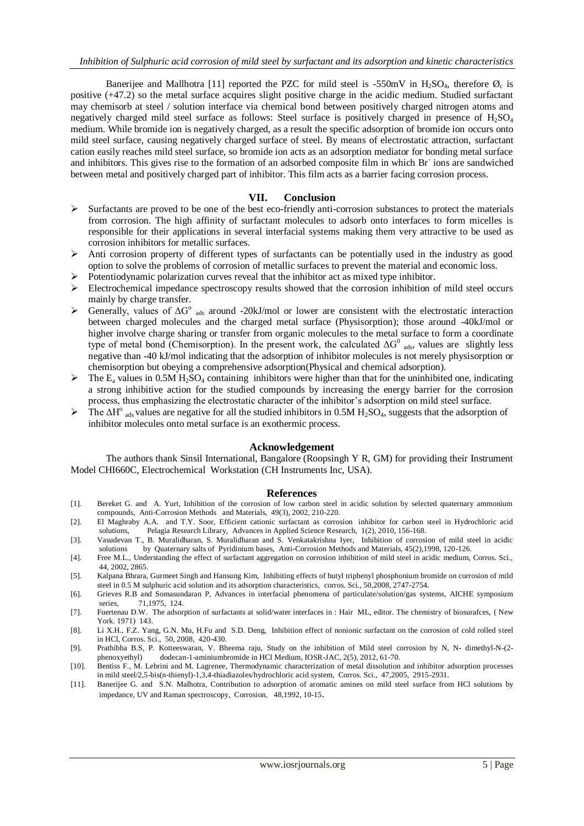Banerijee and Mallhotra [11] reported the PZC for mild steel is -550mV in  $H_2SO_4$ , therefore  $\mathcal{O}_c$  is positive (+47.2) so the metal surface acquires slight positive charge in the acidic medium. Studied surfactant may chemisorb at steel / solution interface via chemical bond between positively charged nitrogen atoms and negatively charged mild steel surface as follows: Steel surface is positively charged in presence of  $H_2SO_4$ medium. While bromide ion is negatively charged, as a result the specific adsorption of bromide ion occurs onto mild steel surface, causing negatively charged surface of steel. By means of electrostatic attraction, surfactant cation easily reaches mild steel surface, so bromide ion acts as an adsorption mediator for bonding metal surface and inhibitors. This gives rise to the formation of an adsorbed composite film in which Br ions are sandwiched between metal and positively charged part of inhibitor. This film acts as a barrier facing corrosion process.

## **VII. Conclusion**

- $\triangleright$  Surfactants are proved to be one of the best eco-friendly anti-corrosion substances to protect the materials from corrosion. The high affinity of surfactant molecules to adsorb onto interfaces to form micelles is responsible for their applications in several interfacial systems making them very attractive to be used as corrosion inhibitors for metallic surfaces.
- $\triangleright$  Anti corrosion property of different types of surfactants can be potentially used in the industry as good option to solve the problems of corrosion of metallic surfaces to prevent the material and economic loss.
- $\triangleright$  Potentiodynamic polarization curves reveal that the inhibitor act as mixed type inhibitor.
- $\triangleright$  Electrochemical impedance spectroscopy results showed that the corrosion inhibition of mild steel occurs mainly by charge transfer.
- > Generally, values of  $ΔG<sup>o</sup>$  <sub>ads</sub> around -20kJ/mol or lower are consistent with the electrostatic interaction between charged molecules and the charged metal surface (Physisorption); those around -40kJ/mol or higher involve charge sharing or transfer from organic molecules to the metal surface to form a coordinate type of metal bond (Chemisorption). In the present work, the calculated  $\Delta G^0$  ads, values are slightly less negative than -40 kJ/mol indicating that the adsorption of inhibitor molecules is not merely physisorption or chemisorption but obeying a comprehensive adsorption(Physical and chemical adsorption).
- $\triangleright$  The E<sub>a</sub> values in 0.5M H<sub>2</sub>SO<sub>4</sub> containing inhibitors were higher than that for the uninhibited one, indicating a strong inhibitive action for the studied compounds by increasing the energy barrier for the corrosion process, thus emphasizing the electrostatic character of the inhibitor's adsorption on mild steel surface.
- $\triangleright$  The  $\Delta H^{\circ}$  ads values are negative for all the studied inhibitors in 0.5M H<sub>2</sub>SO<sub>4</sub>, suggests that the adsorption of inhibitor molecules onto metal surface is an exothermic process.

#### **Acknowledgement**

 The authors thank Sinsil International, Bangalore (Roopsingh Y R, GM) for providing their Instrument Model CHI660C, Electrochemical Workstation (CH Instruments Inc, USA).

## **References**

- [1]. Bereket G. and A. Yurt, Inhibition of the corrosion of low carbon steel in acidic solution by selected quaternary ammonium compounds, Anti-Corrosion Methods and Materials, 49(3), 2002, 210-220.
- [2]. El Maghraby A.A. and T.Y. Soor, Efficient cationic surfactant as corrosion inhibitor for carbon steel in Hydrochloric acid solutions, Pelagia Research Library, Advances in Applied Science Research, 1(2), 2010, 156-168.
- [3]. Vasudevan T., B. Muralidharan, S. Muralidharan and S. Venkatakrishna Iyer, Inhibition of corrosion of mild steel in acidic solutions by Quaternary salts of Pyridinium bases, Anti-Corrosion Methods and Materials, 45(2),1998, 120-126.
- [4]. Free M.L., Understanding the effect of surfactant aggregation on corrosion inhibition of mild steel in acidic medium, Corros. Sci., 44, 2002, 2865.
- [5]. Kalpana Bhrara, Gurmeet Singh and Hansung Kim, Inhibiting effects of butyl triphenyl phosphonium bromide on corrosion of mild steel in 0.5 M sulphuric acid solution and its adsorption characteristics, corros. Sci., 50,2008, 2747-2754.
- [6]. Grieves R.B and Somasundaran P, Advances in interfacial phenomena of particulate/solution/gas systems, AICHE symposium series, 71,1975, 124.
- [7]. Fuertenau D.W. The adsorption of surfactants at solid/water interfaces in : Hair ML, editor. The chemistry of biosurafces, ( New York. 1971) 143.
- [8]. Li X.H., F.Z. Yang, G.N. Mu, H.Fu and S.D. Deng, Inhibition effect of nonionic surfactant on the corrosion of cold rolled steel in HCl, Corros. Sci., 50, 2008, 420-430.
- [9]. Prathibha B.S, P. Kotteeswaran, V. Bheema raju, Study on the inhibition of Mild steel corrosion by N, N- dimethyl-N-(2 phenoxyethyl) dodecan-1-aminiumbromide in HCl Medium, IOSR-JAC, 2(5), 2012, 61-70.
- [10]. Bentiss F., M. Lebrini and M. Lagrenee, Thermodynamic characterization of metal dissolution and inhibitor adsorption processes in mild steel/2,5-bis(n-thienyl)-1,3,4-thiadiazoles/hydrochloric acid system, Corros. Sci., 47,2005, 2915-2931.
- [11]. Banerijee G. and S.N. Malhotra, Contribution to adsorption of aromatic amines on mild steel surface from HCl solutions by impedance, UV and Raman spectroscopy, Corrosion, 48,1992, 10-15.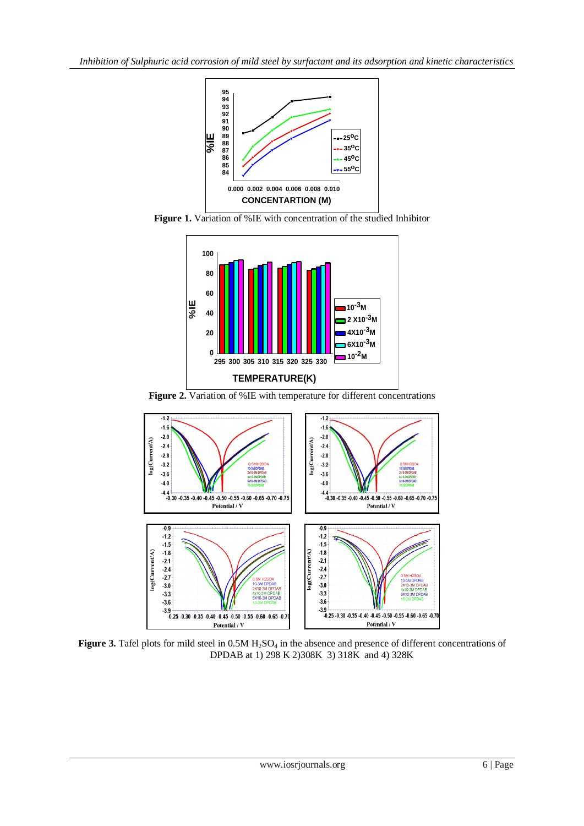

**Figure 1.** Variation of %IE with concentration of the studied Inhibitor



**Figure 2.** Variation of %IE with temperature for different concentrations



**Figure 3.** Tafel plots for mild steel in 0.5M H<sub>2</sub>SO<sub>4</sub> in the absence and presence of different concentrations of DPDAB at 1) 298 K 2)308K 3) 318K and 4) 328K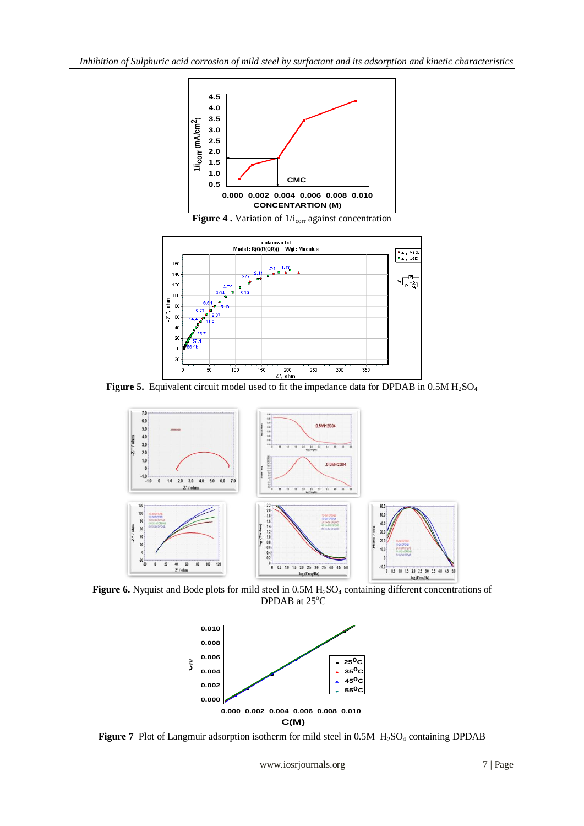





Figure 5. Equivalent circuit model used to fit the impedance data for DPDAB in 0.5M H<sub>2</sub>SO<sub>4</sub>



Figure 6. Nyquist and Bode plots for mild steel in 0.5M H<sub>2</sub>SO<sub>4</sub> containing different concentrations of DPDAB at  $25^{\circ}$ C

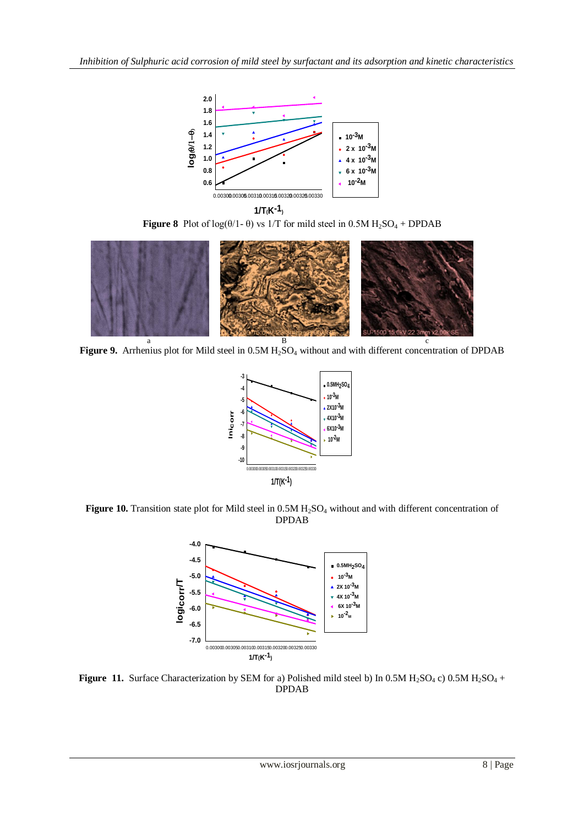

**1/T(K-1) Figure 8** Plot of  $log(\theta/1 - \theta)$  vs 1/T for mild steel in 0.5M  $H_2SO_4 + DPDAB$ 



Figure 9. Arrhenius plot for Mild steel in  $0.5M H<sub>2</sub>SO<sub>4</sub>$  without and with different concentration of DPDAB



Figure 10. Transition state plot for Mild steel in 0.5M H<sub>2</sub>SO<sub>4</sub> without and with different concentration of DPDAB



**Figure 11.** Surface Characterization by SEM for a) Polished mild steel b) In 0.5M  $H_2SO_4$  c) 0.5M  $H_2SO_4$  + DPDAB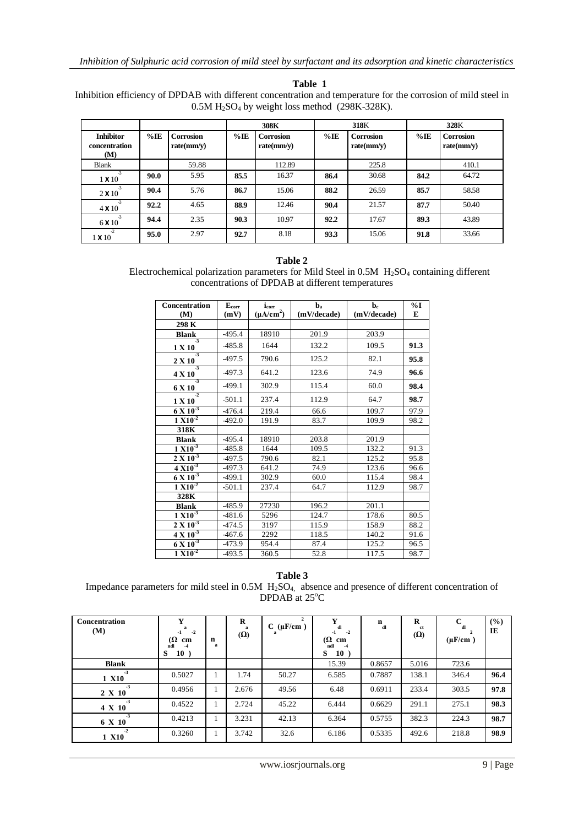**Table 1**

Inhibition efficiency of DPDAB with different concentration and temperature for the corrosion of mild steel in  $0.5M H<sub>2</sub>SO<sub>4</sub>$  by weight loss method (298K-328K).

|                                                 |        |                                | 308K   |                                | 318K   |                                | 328K   |                         |
|-------------------------------------------------|--------|--------------------------------|--------|--------------------------------|--------|--------------------------------|--------|-------------------------|
| <b>Inhibitor</b><br><b>concentration</b><br>(M) | $%$ IE | <b>Corrosion</b><br>rate(mm/y) | $%$ IE | <b>Corrosion</b><br>rate(mm/v) | $%$ IE | <b>Corrosion</b><br>rate(mm/v) | $%$ IE | Corrosion<br>rate(mm/v) |
| <b>Blank</b>                                    |        | 59.88                          |        | 112.89                         |        | 225.8                          |        | 410.1                   |
| $-3$<br>$1 \times 10$                           | 90.0   | 5.95                           | 85.5   | 16.37                          | 86.4   | 30.68                          | 84.2   | 64.72                   |
| $-3$<br>$2 \times 10$                           | 90.4   | 5.76                           | 86.7   | 15.06                          | 88.2   | 26.59                          | 85.7   | 58.58                   |
| $-3$<br>$4 \times 10$                           | 92.2   | 4.65                           | 88.9   | 12.46                          | 90.4   | 21.57                          | 87.7   | 50.40                   |
| $-3$<br>6 X 10                                  | 94.4   | 2.35                           | 90.3   | 10.97                          | 92.2   | 17.67                          | 89.3   | 43.89                   |
| $-2$<br>$1 \times 10$                           | 95.0   | 2.97                           | 92.7   | 8.18                           | 93.3   | 15.06                          | 91.8   | 33.66                   |

#### **Table 2**

Electrochemical polarization parameters for Mild Steel in 0.5M H<sub>2</sub>SO<sub>4</sub> containing different concentrations of DPDAB at different temperatures

| Concentration<br>(M)             | $E_{corr}$<br>(mV) | $i_{corr}$<br>$(\mu A/cm^2)$ | $\mathbf{b}_\mathrm{a}$<br>(mV/decade) | $\mathbf{b}_{\rm c}$<br>(mV/decade) | $\%$ I<br>E |
|----------------------------------|--------------------|------------------------------|----------------------------------------|-------------------------------------|-------------|
| 298 K                            |                    |                              |                                        |                                     |             |
| <b>Blank</b>                     | $-495.4$           | 18910                        | 201.9                                  | 203.9                               |             |
| -3<br>1 X 10                     | $-485.8$           | 1644                         | 132.2                                  | 109.5                               | 91.3        |
| $-3$<br>2 X 10                   | $-497.5$           | 790.6                        | 125.2                                  | 82.1                                | 95.8        |
| $-3$<br>4 X 10                   | $-497.3$           | 641.2                        | 123.6                                  | 74.9                                | 96.6        |
| $-3$<br>6 X 10                   | $-499.1$           | 302.9                        | 115.4                                  | 60.0                                | 98.4        |
| $\overline{2}$<br>1 X 10         | $-501.1$           | 237.4                        | 112.9                                  | 64.7                                | 98.7        |
| $6 \times 10^{-3}$               | $-476.4$           | 219.4                        | 66.6                                   | 109.7                               | 97.9        |
| $1 \overline{X}$ $10^{-2}$       | $-492.0$           | 191.9                        | 83.7                                   | 109.9                               | 98.2        |
| 318K                             |                    |                              |                                        |                                     |             |
| <b>Blank</b>                     | $-495.4$           | 18910                        | 203.8                                  | 201.9                               |             |
| $1 \times 10^{-3}$               | -485.8             | 1644                         | 109.5                                  | 132.2                               | 91.3        |
| $2 \times 10^{-3}$               | $-497.5$           | 790.6                        | 82.1                                   | 125.2                               | 95.8        |
| $4 \times 10^{-3}$               | -497.3             | 641.2                        | 74.9                                   | 123.6                               | 96.6        |
| $6 \times 10^{-3}$               | -499.1             | 302.9                        | 60.0                                   | 115.4                               | 98.4        |
| $1 X10^{-2}$                     | $-501.1$           | 237.4                        | 64.7                                   | 112.9                               | 98.7        |
| 328K                             |                    |                              |                                        |                                     |             |
| <b>Blank</b>                     | $-485.9$           | 27230                        | 196.2                                  | 201.1                               |             |
| $1 X10^{-3}$                     | -481.6             | 5296                         | 124.7                                  | 178.6                               | 80.5        |
| $2 \overline{X} 10^{-3}$         | -474.5             | 3197                         | 115.9                                  | 158.9                               | 88.2        |
| $4 \overline{\mathrm{X} 10^{3}}$ | $-467.6$           | 2292                         | 118.5                                  | 140.2                               | 91.6        |
| $6 \times 10^{-3}$               | $-473.9$           | 954.4                        | 87.4                                   | 125.2                               | 96.5        |
| $1 \overline{X}$ $10^{-2}$       | $-493.5$           | 360.5                        | 52.8                                   | 117.5                               | 98.7        |

**Table 3** Impedance parameters for mild steel in 0.5M H<sub>2</sub>SO<sub>4</sub>, absence and presence of different concentration of DPDAB at 25°C

| Concentration<br>(M)  | Y<br>я<br>$-2$<br>-1<br>$\Omega$<br>cm<br>ndl<br>-4<br>S<br>10) | n<br>a       | R<br>a<br>$(\Omega)$ | $C$ ( $\mu$ F/cm) | Y<br>dl<br>$-2$<br>-1<br>$(\Omega$ cm<br>ndl<br>$-4$<br>S<br>10) | $\mathbf n$<br>dl | R<br>ct<br>$(\Omega)$ | $\mathbf C$<br>dl<br>$(\mu$ F/cm $)$ | (%)<br>IE |
|-----------------------|-----------------------------------------------------------------|--------------|----------------------|-------------------|------------------------------------------------------------------|-------------------|-----------------------|--------------------------------------|-----------|
| <b>Blank</b>          |                                                                 |              |                      |                   | 15.39                                                            | 0.8657            | 5.016                 | 723.6                                |           |
| $-3$<br>1 X10         | 0.5027                                                          |              | 1.74                 | 50.27             | 6.585                                                            | 0.7887            | 138.1                 | 346.4                                | 96.4      |
| $-3$<br>$2 \times 10$ | 0.4956                                                          |              | 2.676                | 49.56             | 6.48                                                             | 0.6911            | 233.4                 | 303.5                                | 97.8      |
| $-3$<br>$4 \times 10$ | 0.4522                                                          | $\mathbf{I}$ | 2.724                | 45.22             | 6.444                                                            | 0.6629            | 291.1                 | 275.1                                | 98.3      |
| $-3$<br>6 X 10        | 0.4213                                                          | $\bf{1}$     | 3.231                | 42.13             | 6.364                                                            | 0.5755            | 382.3                 | 224.3                                | 98.7      |
| $-2$<br>1 X10         | 0.3260                                                          |              | 3.742                | 32.6              | 6.186                                                            | 0.5335            | 492.6                 | 218.8                                | 98.9      |